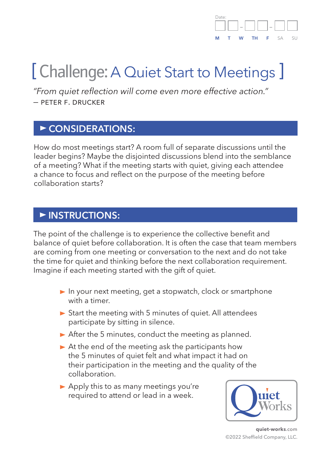#### Date: – – **M T W TH F** SA SU

# [ Challenge: A Quiet Start to Meetings ]

*"From quiet reflection will come even more effective action." —* peter f. drucker

#### **CONSIDERATIONS:**

How do most meetings start? A room full of separate discussions until the leader begins? Maybe the disjointed discussions blend into the semblance of a meeting? What if the meeting starts with quiet, giving each attendee a chance to focus and reflect on the purpose of the meeting before collaboration starts?

#### **INSTRUCTIONS:**

The point of the challenge is to experience the collective benefit and balance of quiet before collaboration. It is often the case that team members are coming from one meeting or conversation to the next and do not take the time for quiet and thinking before the next collaboration requirement. Imagine if each meeting started with the gift of quiet.

- ▶ In your next meeting, get a stopwatch, clock or smartphone with a timer.
- Start the meeting with 5 minutes of quiet. All attendees participate by sitting in silence.
- $\triangleright$  After the 5 minutes, conduct the meeting as planned.
- $\triangleright$  At the end of the meeting ask the participants how the 5 minutes of quiet felt and what impact it had on their participation in the meeting and the quality of the collaboration.
- $\blacktriangleright$  Apply this to as many meetings you're required to attend or lead in a week.